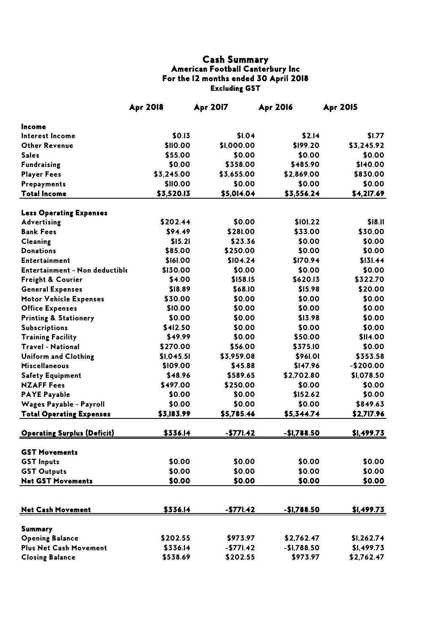## Cash Summary American Football Canterbury Inc For the 12 months ended 30 April 2018 Excluding GST

|                                    | <b>Apr 2018</b> | <b>Apr 2017</b>  | <b>Apr 2016</b>    | <b>Apr 2015</b>    |
|------------------------------------|-----------------|------------------|--------------------|--------------------|
| Income                             |                 |                  |                    |                    |
| Interest Income                    | \$0.13          | \$1.04           | \$2.14             | \$1.77             |
| <b>Other Revenue</b>               | \$110.00        | \$1,000.00       | \$199.20           | \$3,245.92         |
| <b>Sales</b>                       | \$55.00         | \$0.00           | \$0.00             | \$0.00             |
| <b>Fundraising</b>                 | \$0.00          | \$358.00         | \$485.90           | \$140.00           |
| <b>Player Fees</b>                 | \$3,245.00      | \$3,655.00       | \$2,869.00         | \$830.00           |
| Prepayments                        | \$110.00        | \$0.00           | \$0.00             | \$0.00             |
| <b>Total Income</b>                | \$3,520.13      | \$5,014.04       | \$3,556.24         | \$4,217.69         |
| <b>Less Operating Expenses</b>     |                 |                  |                    |                    |
| <b>Advertising</b>                 | \$202.44        | \$0.00           | \$101.22           | \$18.11            |
| <b>Bank Fees</b>                   | \$94.49         | \$281.00         | \$33.00            | \$30.00            |
| <b>Cleaning</b>                    | \$15.21         | \$23.36          | \$0.00             | \$0.00             |
| <b>Donations</b>                   | \$85.00         | \$250.00         | \$0.00             | \$0.00             |
| <b>Entertainment</b>               | \$161.00        | \$104.24         | \$170.94           | \$131.44           |
| Entertainment - Non deductible     | \$130.00        | \$0.00           | \$0.00             | \$0.00             |
| Freight & Courier                  | \$4.00          | \$158.15         | \$620.13           | \$322.70           |
| <b>General Expenses</b>            | \$18.89         | \$68.10          | \$15.98            | \$20.00            |
| <b>Motor Vehicle Expenses</b>      | \$30.00         | \$0.00           | \$0.00             | \$0.00             |
| <b>Office Expenses</b>             | \$10.00         | \$0.00           | \$0.00             | \$0.00             |
| <b>Printing &amp; Stationery</b>   | \$0.00          | \$0.00           | \$13.98            | \$0.00             |
| <b>Subscriptions</b>               | \$412.50        | \$0.00           | \$0.00             | \$0.00             |
| <b>Training Facility</b>           | \$49.99         | \$0.00           | \$50.00            | \$114.00           |
| <b>Travel - National</b>           | \$270.00        | \$56.00          | \$375.10           | \$0.00             |
| <b>Uniform and Clothing</b>        | \$I, 045.5]     | \$3,959.08       | <b>\$961.01</b>    | \$353.58           |
| <b>Miscellaneous</b>               | \$109.00        | \$45.88          | \$147.96           | $-$200.00$         |
| <b>Safety Equipment</b>            | \$48.96         | \$589.65         | \$2,702.80         | \$1,078.50         |
| <b>NZAFF Fees</b>                  | \$497.00        | \$250.00         | \$0.00             | \$0.00             |
| <b>PAYE Payable</b>                | \$0.00          | \$0.00           | \$152.62           | \$0.00             |
| Wages Payable - Payroll            | \$0.00          | \$0.00           | \$0.00             | \$849.63           |
| <b>Total Operating Expenses</b>    | \$3,183.99      | \$5,785.46       | \$5,344.74         | \$2,717.96         |
| <b>Operating Surplus (Deficit)</b> | \$336.14        | <u>-\$771.42</u> | <u>-\$1,788.50</u> | <u>\$1,499.73 </u> |
| <b>GST Movements</b>               |                 |                  |                    |                    |
| <b>GST Inputs</b>                  | \$0.00          | \$0.00           | \$0.00             | \$0.00             |
| <b>GST Outputs</b>                 | \$0.00          | \$0.00           | \$0.00             | \$0.00             |
| <b>Net GST Movements</b>           | \$0.00          | \$0.00           | \$0.00             | \$0.00             |
|                                    |                 |                  |                    |                    |
| <b>Net Cash Movement</b>           | \$336.14        | $-$771.42$       | $-$1,788.50$       | \$1,499.73         |
| <b>Summary</b>                     |                 |                  |                    |                    |
| <b>Opening Balance</b>             | \$202.55        | \$973.97         | \$2,762.47         | \$1,262.74         |
| <b>Plus Net Cash Movement</b>      | \$336.14        | $-$771.42$       | $-$1,788.50$       | \$I,499.73         |
| <b>Closing Balance</b>             | \$538.69        | \$202.55         | \$973.97           | \$2,762.47         |